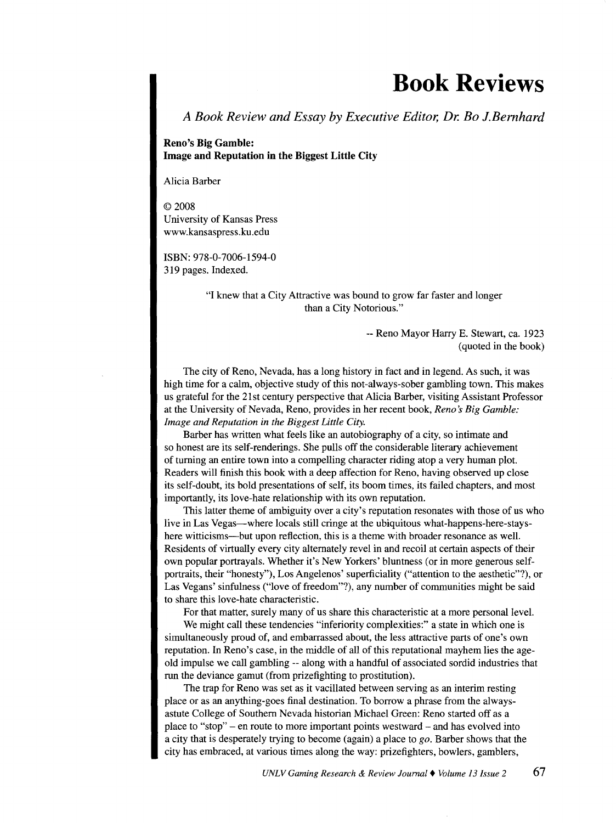## **Book Reviews**

*A Book Review and Essay by Executive Editor, Dr. Bo J.Bemhard* 

**Reno's Big Gamble: Image and Reputation in the Biggest Little City** 

Alicia Barber

© 2008 University of Kansas Press www.kansaspress.ku.edu

ISBN: 978-0-7006-1594-0 319 pages. Indexed.

> "I knew that a City Attractive was bound to grow far faster and longer than a City Notorious."

> > --Reno Mayor Harry E. Stewart, ca. 1923 (quoted in the book)

The city of Reno, Nevada, has a long history in fact and in legend. As such, it was high time for a calm, objective study of this not-always-sober gambling town. This makes us grateful for the 21st century perspective that Alicia Barber, visiting Assistant Professor at the University of Nevada, Reno, provides in her recent book, *Reno s Big Gamble: Image and Reputation in the Biggest Little City.* 

Barber has written what feels like an autobiography of a city, so intimate and so honest are its self-renderings. She pulls off the considerable literary achievement of turning an entire town into a compelling character riding atop a very human plot. Readers will finish this book with a deep affection for Reno, having observed up close its self-doubt, its bold presentations of self, its boom times, its failed chapters, and most importantly, its love-hate relationship with its own reputation.

This latter theme of ambiguity over a city's reputation resonates with those of us who live in Las Vegas—where locals still cringe at the ubiquitous what-happens-here-stayshere witticisms—but upon reflection, this is a theme with broader resonance as well. Residents of virtually every city alternately revel in and recoil at certain aspects of their own popular portrayals. Whether it's New Yorkers' bluntness (or in more generous selfportraits, their "honesty"), Los Angelenos' superficiality ("attention to the aesthetic"?), or Las Vegans' sinfulness ("love of freedom"?), any number of communities might be said to share this love-hate characteristic.

For that matter, surely many of us share this characteristic at a more personal level.

We might call these tendencies "inferiority complexities:" a state in which one is simultaneously proud of, and embarrassed about, the less attractive parts of one's own reputation. In Reno's case, in the middle of all of this reputational mayhem lies the ageold impulse we call gambling -- along with a handful of associated sordid industries that run the deviance gamut (from prizefighting to prostitution).

The trap for Reno was set as it vacillated between serving as an interim resting place or as an anything-goes final destination. To borrow a phrase from the alwaysastute College of Southern Nevada historian Michael Green: Reno started off as a place to "stop" - en route to more important points westward - and has evolved into a city that is desperately trying to become (again) a place to *go.* Barber shows that the city has embraced, at various times along the way: prizefighters, bowlers, gamblers,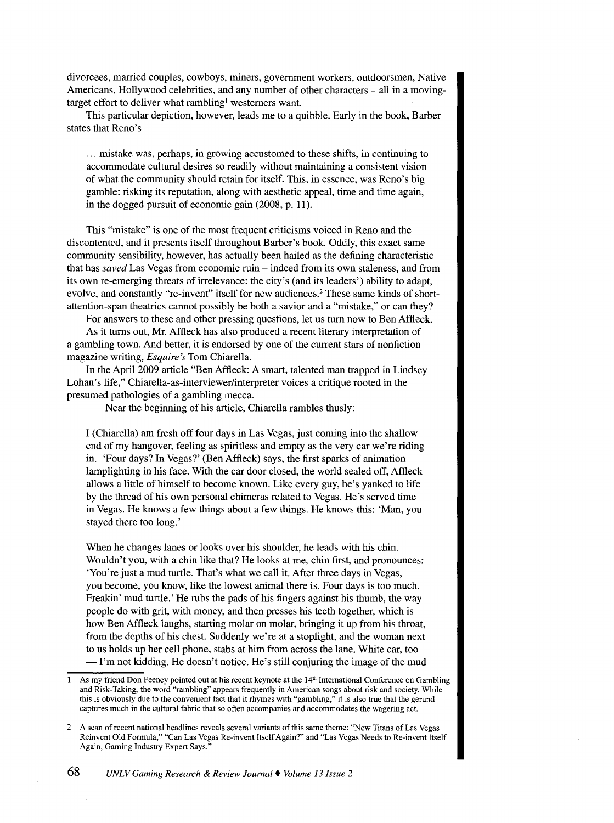divorcees, married couples, cowboys, miners, government workers, outdoorsmen, Native Americans, Hollywood celebrities, and any number of other characters – all in a movingtarget effort to deliver what rambling<sup>1</sup> westerners want.

This particular depiction, however, leads me to a quibble. Early in the book, Barber states that Reno's

... mistake was, perhaps, in growing accustomed to these shifts, in continuing to accommodate cultural desires so readily without maintaining a consistent vision of what the community should retain for itself. This, in essence, was Reno's big gamble: risking its reputation, along with aesthetic appeal, time and time again, in the dogged pursuit of economic gain (2008, p. 11).

This "mistake" is one of the most frequent criticisms voiced in Reno and the discontented, and it presents itself throughout Barber's book. Oddly, this exact same community sensibility, however, has actually been hailed as the defining characteristic that has *saved* Las Vegas from economic ruin - indeed from its own staleness, and from its own re-emerging threats of irrelevance: the city's (and its leaders') ability to adapt, evolve, and constantly "re-invent" itself for new audiences.<sup>2</sup> These same kinds of shortattention-span theatrics cannot possibly be both a savior and a "mistake," or can they?

For answers to these and other pressing questions, let us tum now to Ben Affleck.

As it turns out, Mr. Affleck has also produced a recent literary interpretation of a gambling town. And better, it is endorsed by one of the current stars of nonfiction magazine writing, *Esquire's* Tom Chiarella.

In the April 2009 article "Ben Affleck: A smart, talented man trapped in Lindsey Lohan's life," Chiarella-as-interviewer/interpreter voices a critique rooted in the presumed pathologies of a gambling mecca.

Near the beginning of his article, Chiarella rambles thusly:

I (Chiarella) am fresh off four days in Las Vegas, just coming into the shallow end of my hangover, feeling as spiritless and empty as the very car we're riding in. 'Four days? In Vegas?' (Ben Affleck) says, the first sparks of animation lamplighting in his face. With the car door closed, the world sealed off, Affleck allows a little of himself to become known. Like every guy, he's yanked to life by the thread of his own personal chimeras related to Vegas. He's served time in Vegas. He knows a few things about a few things. He knows this: 'Man, you stayed there too long.'

When he changes lanes or looks over his shoulder, he leads with his chin. Wouldn't you, with a chin like that? He looks at me, chin first, and pronounces: 'You're just a mud turtle. That's what we call it. After three days in Vegas, you become, you know, like the lowest animal there is. Four days is too much. Freakin' mud turtle.' He rubs the pads of his fingers against his thumb, the way people do with grit, with money, and then presses his teeth together, which is how Ben Affleck laughs, starting molar on molar, bringing it up from his throat, from the depths of his chest. Suddenly we're at a stoplight, and the woman next to us holds up her cell phone, stabs at him from across the lane. White car, too -I'm not kidding. He doesn't notice. He's still conjuring the image of the mud

As my friend Don Feeney pointed out at his recent keynote at the 14<sup>th</sup> International Conference on Gambling and Risk-Taking, the word "rambling" appears frequently in American songs about risk and society. While this is obviously due to the convenient fact that it rhymes with "gambling," it is also true that the gerund captures much in the cultural fabric that so often accompanies and accommodates the wagering act.

<sup>2</sup> A scan of recent national headlines reveals several variants of this same theme: "New Titans of Las Vegas Reinvent Old Formula," "Can Las Vegas Re-invent Itself Again?" and "Las Vegas Needs to Re-invent Itself Again, Gaming Industry Expert Says."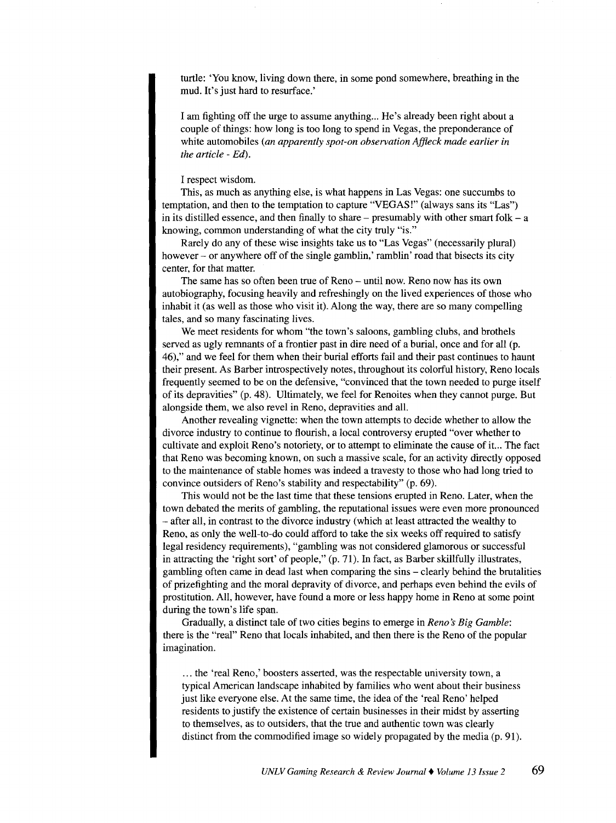turtle: 'You know, living down there, in some pond somewhere, breathing in the mud. It's just hard to resurface.'

I am fighting off the urge to assume anything... He's already been right about a couple of things: how long is too long to spend in Vegas, the preponderance of white automobiles *(an apparently spot-on observation Affleck made earlier in the article- Ed).* 

## I respect wisdom.

This, as much as anything else, is what happens in Las Vegas: one succumbs to temptation, and then to the temptation to capture "VEGAS!" (always sans its "Las") in its distilled essence, and then finally to share – presumably with other smart folk –  $a$ knowing, common understanding of what the city truly "is."

Rarely do any of these wise insights take us to "Las Vegas" (necessarily plural) however – or anywhere off of the single gamblin,' ramblin' road that bisects its city center, for that matter.

The same has so often been true of Reno - until now. Reno now has its own autobiography, focusing heavily and refreshingly on the lived experiences of those who inhabit it (as well as those who visit it). Along the way, there are so many compelling tales, and so many fascinating lives.

We meet residents for whom "the town's saloons, gambling clubs, and brothels served as ugly remnants of a frontier past in dire need of a burial, once and for all (p. 46)," and we feel for them when their burial efforts fail and their past continues to haunt their present. As Barber introspectively notes, throughout its colorful history, Reno locals frequently seemed to be on the defensive, "convinced that the town needed to purge itself of its depravities" (p. 48). Ultimately, we feel for Renoites when they cannot purge. But alongside them, we also revel in Reno, depravities and all.

Another revealing vignette: when the town attempts to decide whether to allow the divorce industry to continue to flourish, a local controversy erupted "over whether to cultivate and exploit Reno's notoriety, or to attempt to eliminate the cause of it... The fact that Reno was becoming known, on such a massive scale, for an activity directly opposed to the maintenance of stable homes was indeed a travesty to those who had long tried to convince outsiders of Reno's stability and respectability" (p. 69).

This would not be the last time that these tensions erupted in Reno. Later, when the town debated the merits of gambling, the reputational issues were even more pronounced -after all, in contrast to the divorce industry (which at least attracted the wealthy to Reno, as only the well-to-do could afford to take the six weeks off required to satisfy legal residency requirements), "gambling was not considered glamorous or successful in attracting the 'right sort' of people," (p. 71). In fact, as Barber skillfully illustrates, gambling often came in dead last when comparing the sins - clearly behind the brutalities of prizefighting and the moral depravity of divorce, and perhaps even behind the evils of prostitution. All, however, have found a more or less happy home in Reno at some point during the town's life span.

Gradually, a distinct tale of two cities begins to emerge in *Reno's Big Gamble*: there is the "real" Reno that locals inhabited, and then there is the Reno of the popular imagination.

... the 'real Reno,' boosters asserted, was the respectable university town, a typical American landscape inhabited by families who went about their business just like everyone else. At the same time, the idea of the 'real Reno' helped residents to justify the existence of certain businesses in their midst by asserting to themselves, as to outsiders, that the true and authentic town was clearly distinct from the commodified image so widely propagated by the media (p. 91).